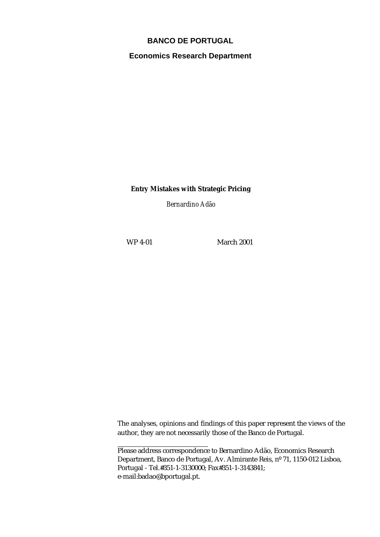# **BANCO DE PORTUGAL**

**Economics Research Department**

**Entry Mistakes with Strategic Pricing**

*Bernardino Adão*

WP 4-01 March 2001

The analyses, opinions and findings of this paper represent the views of the author, they are not necessarily those of the Banco de Portugal.

Please address correspondence to Bernardino Adão, Economics Research Department, Banco de Portugal, Av. Almirante Reis, nº 71, 1150-012 Lisboa, Portugal - Tel.#351-1-3130000; Fax#351-1-3143841; e-mail:badao@bportugal.pt.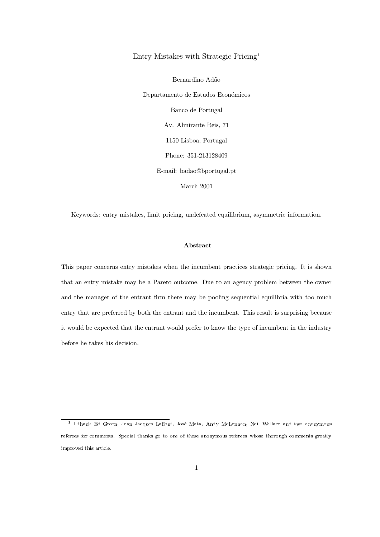## Entry Mistakes with Strategic Pricing<sup>1</sup>

Bernardino Adão Departamento de Estudos Económicos Banco de Portugal Av. Almirante Reis, 71 1150 Lisboa, Portugal Phone: 351-213128409 E-mail: badao@bportugal.pt March  $2001$ 

Keywords: entry mistakes, limit pricing, undefeated equilibrium, asymmetric information.

## Abstract

This paper concerns entry mistakes when the incumbent practices strategic pricing. It is shown that an entry mistake may be a Pareto outcome. Due to an agency problem between the owner and the manager of the entrant firm there may be pooling sequential equilibria with too much entry that are preferred by both the entrant and the incumbent. This result is surprising because it would be expected that the entrant would prefer to know the type of incumbent in the industry before he takes his decision.

<sup>&</sup>lt;sup>1</sup> I thank Ed Green, Jean Jacques Laffont, José Mata, Andy McLennan, Neil Wallace and two anonymous referees for comments. Special thanks go to one of these anonymous referees whose thorough comments greatly improved this article.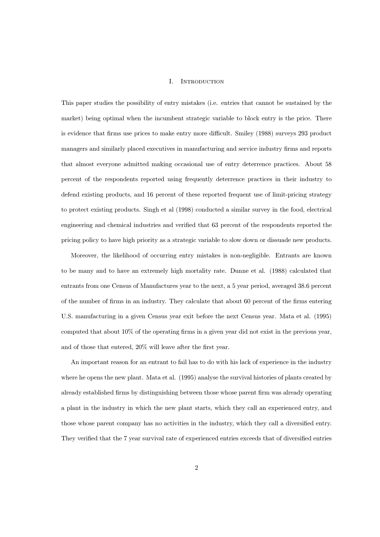### INTRODUCTION Ι.

This paper studies the possibility of entry mistakes (i.e. entries that cannot be sustained by the market) being optimal when the incumbent strategic variable to block entry is the price. There is evidence that firms use prices to make entry more difficult. Smiley (1988) surveys 293 product managers and similarly placed executives in manufacturing and service industry firms and reports that almost everyone admitted making occasional use of entry deterrence practices. About 58 percent of the respondents reported using frequently deterrence practices in their industry to defend existing products, and 16 percent of these reported frequent use of limit-pricing strategy to protect existing products. Singh et al (1998) conducted a similar survey in the food, electrical engineering and chemical industries and verified that 63 percent of the respondents reported the pricing policy to have high priority as a strategic variable to slow down or dissuade new products.

Moreover, the likelihood of occurring entry mistakes is non-negligible. Entrants are known to be many and to have an extremely high mortality rate. Dunne et al. (1988) calculated that entrants from one Census of Manufactures year to the next, a 5 year period, averaged 38.6 percent of the number of firms in an industry. They calculate that about 60 percent of the firms entering U.S. manufacturing in a given Census year exit before the next Census year. Mata et al. (1995) computed that about  $10\%$  of the operating firms in a given year did not exist in the previous year, and of those that entered,  $20\%$  will leave after the first year.

An important reason for an entrant to fail has to do with his lack of experience in the industry where he opens the new plant. Mata et al. (1995) analyse the survival histories of plants created by already established firms by distinguishing between those whose parent firm was already operating a plant in the industry in which the new plant starts, which they call an experienced entry, and those whose parent company has no activities in the industry, which they call a diversified entry. They verified that the 7 year survival rate of experienced entries exceeds that of diversified entries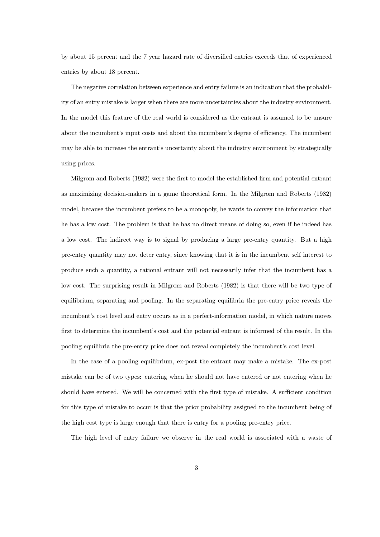by about 15 percent and the 7 year hazard rate of diversified entries exceeds that of experienced entries by about 18 percent.

The negative correlation between experience and entry failure is an indication that the probability of an entry mistake is larger when there are more uncertainties about the industry environment. In the model this feature of the real world is considered as the entrant is assumed to be unsure about the incumbent's input costs and about the incumbent's degree of efficiency. The incumbent may be able to increase the entrant's uncertainty about the industry environment by strategically using prices.

Milgrom and Roberts (1982) were the first to model the established firm and potential entrant as maximizing decision-makers in a game theoretical form. In the Milgrom and Roberts (1982) model, because the incumbent prefers to be a monopoly, he wants to convey the information that he has a low cost. The problem is that he has no direct means of doing so, even if he indeed has a low cost. The indirect way is to signal by producing a large pre-entry quantity. But a high pre-entry quantity may not deter entry, since knowing that it is in the incumbent self interest to produce such a quantity, a rational entrant will not necessarily infer that the incumbent has a low cost. The surprising result in Milgrom and Roberts (1982) is that there will be two type of equilibrium, separating and pooling. In the separating equilibria the pre-entry price reveals the incumbent's cost level and entry occurs as in a perfect-information model, in which nature moves first to determine the incumbent's cost and the potential entrant is informed of the result. In the pooling equilibria the pre-entry price does not reveal completely the incumbent's cost level.

In the case of a pooling equilibrium, ex-post the entrant may make a mistake. The ex-post mistake can be of two types: entering when he should not have entered or not entering when he should have entered. We will be concerned with the first type of mistake. A sufficient condition for this type of mistake to occur is that the prior probability assigned to the incumbent being of the high cost type is large enough that there is entry for a pooling pre-entry price.

The high level of entry failure we observe in the real world is associated with a waste of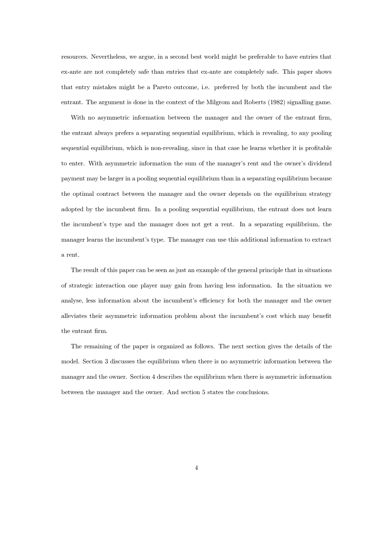resources. Nevertheless, we argue, in a second best world might be preferable to have entries that ex-ante are not completely safe than entries that ex-ante are completely safe. This paper shows that entry mistakes might be a Pareto outcome, i.e. preferred by both the incumbent and the entrant. The argument is done in the context of the Milgrom and Roberts (1982) signalling game.

With no asymmetric information between the manager and the owner of the entrant firm, the entrant always prefers a separating sequential equilibrium, which is revealing, to any pooling sequential equilibrium, which is non-revealing, since in that case he learns whether it is profitable to enter. With asymmetric information the sum of the manager's rent and the owner's dividend payment may be larger in a pooling sequential equilibrium than in a separating equilibrium because the optimal contract between the manager and the owner depends on the equilibrium strategy adopted by the incumbent firm. In a pooling sequential equilibrium, the entrant does not learn the incumbent's type and the manager does not get a rent. In a separating equilibrium, the manager learns the incumbent's type. The manager can use this additional information to extract a rent.

The result of this paper can be seen as just an example of the general principle that in situations of strategic interaction one player may gain from having less information. In the situation we analyse, less information about the incumbent's efficiency for both the manager and the owner alleviates their asymmetric information problem about the incumbent's cost which may benefit the entrant firm.

The remaining of the paper is organized as follows. The next section gives the details of the model. Section 3 discusses the equilibrium when there is no asymmetric information between the manager and the owner. Section 4 describes the equilibrium when there is asymmetric information between the manager and the owner. And section 5 states the conclusions.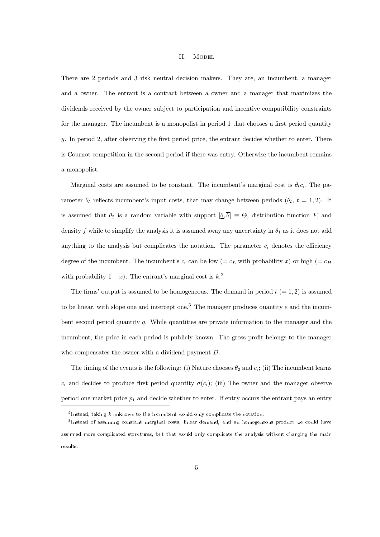#### II. **MODEL**

There are 2 periods and 3 risk neutral decision makers. They are, an incumbent, a manager and a owner. The entrant is a contract between a owner and a manager that maximizes the dividends received by the owner subject to participation and incentive compatibility constraints for the manager. The incumbent is a monopolist in period 1 that chooses a first period quantity y. In period 2, after observing the first period price, the entrant decides whether to enter. There is Cournot competition in the second period if there was entry. Otherwise the incumbent remains a monopolist.

Marginal costs are assumed to be constant. The incumbent's marginal cost is  $\theta_t c_i$ . The parameter  $\theta_t$  reflects incumbent's input costs, that may change between periods  $(\theta_t, t = 1, 2)$ . It is assumed that  $\theta_2$  is a random variable with support  $[\underline{\theta}, \overline{\theta}] \equiv \Theta$ , distribution function F, and density f while to simplify the analysis it is assumed away any uncertainty in  $\theta_1$  as it does not add anything to the analysis but complicates the notation. The parameter  $c_i$  denotes the efficiency degree of the incumbent. The incumbent's  $c_i$  can be low (=  $c_L$  with probability x) or high (=  $c_H$ ) with probability  $1 - x$ ). The entrant's marginal cost is  $k^2$ .

The firms' output is assumed to be homogeneous. The demand in period  $t (= 1, 2)$  is assumed to be linear, with slope one and intercept one.<sup>3</sup> The manager produces quantity  $e$  and the incumbent second period quantity q. While quantities are private information to the manager and the incumbent, the price in each period is publicly known. The gross profit belongs to the manager who compensates the owner with a dividend payment  $D$ .

The timing of the events is the following: (i) Nature chooses  $\theta_2$  and  $c_i$ ; (ii) The incumbent learns  $c_i$  and decides to produce first period quantity  $\sigma(c_i)$ ; (iii) The owner and the manager observe period one market price  $p_1$  and decide whether to enter. If entry occurs the entrant pays an entry

<sup>&</sup>lt;sup>2</sup>Instead, taking  $k$  unknown to the incumbent would only complicate the notation.

<sup>&</sup>lt;sup>3</sup>Instead of assuming constant marginal costs, linear demand, and an homogeneous product we could have assumed more complicated structures, but that would only complicate the analysis without changing the main results.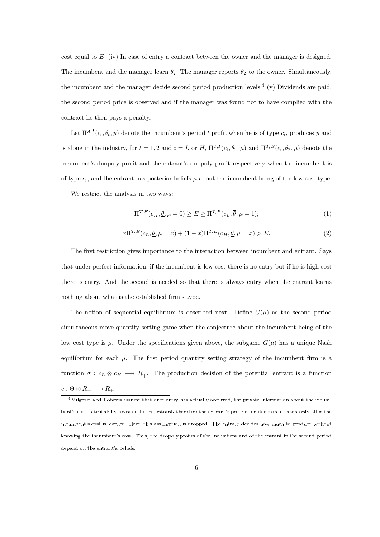$\cot \theta$  cost equal to E; (iv) In case of entry a contract between the owner and the manager is designed. The incumbent and the manager learn  $\theta_2$ . The manager reports  $\theta_2$  to the owner. Simultaneously, the incumbent and the manager decide second period production levels:<sup>4</sup> (y) Dividends are paid. the second period price is observed and if the manager was found not to have complied with the contract he then pays a penalty.

Let  $\Pi^{A,I}(c_i,\theta_t,y)$  denote the incumbent's period t profit when he is of type  $c_i$ , produces y and is alone in the industry, for  $t = 1, 2$  and  $i = L$  or H,  $\Pi^{T,I}(c_i, \theta_2, \mu)$  and  $\Pi^{T,E}(c_i, \theta_2, \mu)$  denote the incumbent's duopoly profit and the entrant's duopoly profit respectively when the incumbent is of type  $c_i$ , and the entrant has posterior beliefs  $\mu$  about the incumbent being of the low cost type.

We restrict the analysis in two ways:

$$
\Pi^{T,E}(c_H, \underline{\theta}, \mu = 0) \ge E \ge \Pi^{T,E}(c_L, \overline{\theta}, \mu = 1); \tag{1}
$$

$$
x\Pi^{T,E}(c_L, \underline{\theta}, \mu = x) + (1-x)\Pi^{T,E}(c_H, \underline{\theta}, \mu = x) > E.
$$
 (2)

The first restriction gives importance to the interaction between incumbent and entrant. Says that under perfect information, if the incumbent is low cost there is no entry but if he is high cost there is entry. And the second is needed so that there is always entry when the entrant learns nothing about what is the established firm's type.

The notion of sequential equilibrium is described next. Define  $G(u)$  as the second period simultaneous move quantity setting game when the conjecture about the incumbent being of the low cost type is u. Under the specifications given above, the subgame  $G(u)$  has a unique Nash equilibrium for each  $\mu$ . The first period quantity setting strategy of the incumbent firm is a function  $\sigma : c_L \otimes c_H \longrightarrow R_+^2$ . The production decision of the potential entrant is a function  $e: \Theta \otimes R_+ \longrightarrow R_+.$ 

 $4$ Milgrom and Roberts assume that once entry has actually occurred, the private information about the incumbent's cost is truthfully revealed to the entrant, therefore the entrant's production decision is taken only after the incumbent's cost is learned. Here, this assumption is dropped. The entrant decides how much to produce without knowing the incumbent's cost. Thus, the duopoly profits of the incumbent and of the entrant in the second period depend on the entrant's beliefs.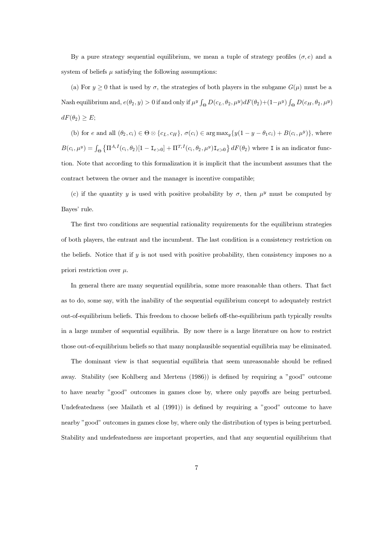By a pure strategy sequential equilibrium, we mean a tuple of strategy profiles  $(\sigma, e)$  and a system of beliefs  $\mu$  satisfying the following assumptions:

(a) For  $y \ge 0$  that is used by  $\sigma$ , the strategies of both players in the subgame  $G(\mu)$  must be a Nash equilibrium and,  $e(\theta_2, y) > 0$  if and only if  $\mu^y \int_{\Theta} D(c_L, \theta_2, \mu^y) dF(\theta_2) + (1 - \mu^y) \int_{\Theta} D(c_H, \theta_2, \mu^y)$  $dF(\theta_2) \geq E;$ 

(b) for e and all  $(\theta_2, c_i) \in \Theta \otimes \{c_L, c_H\}, \sigma(c_i) \in \arg \max_y \{y(1-y-\theta_1c_i)+B(c_i, \mu^y)\},\$  where  $B(c_i,\mu^y) = \int_{\Theta} \left\{ \Pi^{A,I}(c_i,\theta_2)[1-\mathbf{I}_{e>0}] + \Pi^{T,I}(c_i,\theta_2,\mu^y)\mathbf{I}_{e>0} \right\} dF(\theta_2)$  where I is an indicator function. Note that according to this formalization it is implicit that the incumbent assumes that the contract between the owner and the manager is incentive compatible;

(c) if the quantity y is used with positive probability by  $\sigma$ , then  $\mu^y$  must be computed by Bayes' rule.

The first two conditions are sequential rationality requirements for the equilibrium strategies of both players, the entrant and the incumbent. The last condition is a consistency restriction on the beliefs. Notice that if  $y$  is not used with positive probability, then consistency imposes no a priori restriction over  $\mu$ .

In general there are many sequential equilibria, some more reasonable than others. That fact as to do, some say, with the inability of the sequential equilibrium concept to adequately restrict out-of-equilibrium beliefs. This freedom to choose beliefs off-the-equilibrium path typically results in a large number of sequential equilibria. By now there is a large literature on how to restrict those out-of-equilibrium beliefs so that many nonplausible sequential equilibria may be eliminated.

The dominant view is that sequential equilibria that seem unreasonable should be refined away. Stability (see Kohlberg and Mertens (1986)) is defined by requiring a "good" outcome to have nearby "good" outcomes in games close by, where only payoffs are being perturbed. Undefeatedness (see Mailath et al  $(1991)$ ) is defined by requiring a "good" outcome to have nearby "good" outcomes in games close by, where only the distribution of types is being perturbed. Stability and undefeatedness are important properties, and that any sequential equilibrium that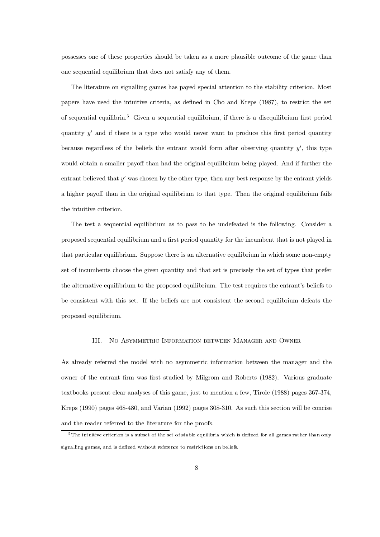possesses one of these properties should be taken as a more plausible outcome of the game than one sequential equilibrium that does not satisfy any of them.

The literature on signalling games has payed special attention to the stability criterion. Most papers have used the intuitive criteria, as defined in Cho and Kreps (1987), to restrict the set of sequential equilibria.<sup>5</sup> Given a sequential equilibrium, if there is a disequilibrium first period quantity  $y'$  and if there is a type who would never want to produce this first period quantity because regardless of the beliefs the entrant would form after observing quantity  $y'$ , this type would obtain a smaller payoff than had the original equilibrium being played. And if further the entrant believed that  $y'$  was chosen by the other type, then any best response by the entrant yields a higher payoff than in the original equilibrium to that type. Then the original equilibrium fails the intuitive criterion.

The test a sequential equilibrium as to pass to be undefeated is the following. Consider a proposed sequential equilibrium and a first period quantity for the incumbent that is not played in that particular equilibrium. Suppose there is an alternative equilibrium in which some non-empty set of incumbents choose the given quantity and that set is precisely the set of types that prefer the alternative equilibrium to the proposed equilibrium. The test requires the entrant's beliefs to be consistent with this set. If the beliefs are not consistent the second equilibrium defeats the proposed equilibrium.

### NO ASYMMETRIC INFORMATION BETWEEN MANAGER AND OWNER III.

As already referred the model with no asymmetric information between the manager and the owner of the entrant firm was first studied by Milgrom and Roberts (1982). Various graduate textbooks present clear analyses of this game, just to mention a few, Tirole (1988) pages 367-374, Kreps (1990) pages 468-480, and Varian (1992) pages 308-310. As such this section will be concise and the reader referred to the literature for the proofs.

 ${}^{5}$ The intuitive criterion is a subset of the set of stable equilibria which is defined for all games rather than only signalling games, and is defined without reference to restrictions on beliefs.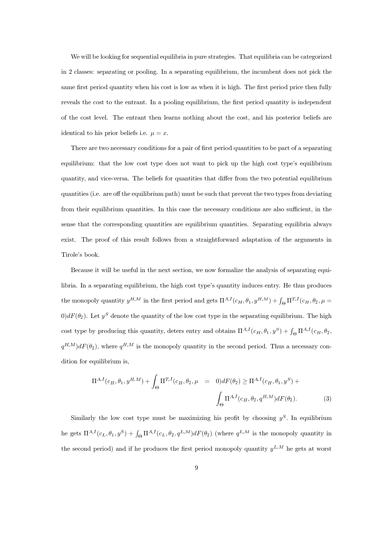We will be looking for sequential equilibria in pure strategies. That equilibria can be categorized in 2 classes: separating or pooling. In a separating equilibrium, the incumbent does not pick the same first period quantity when his cost is low as when it is high. The first period price then fully reveals the cost to the entrant. In a pooling equilibrium, the first period quantity is independent of the cost level. The entrant then learns nothing about the cost, and his posterior beliefs are identical to his prior beliefs i.e.  $\mu = x$ .

There are two necessary conditions for a pair of first period quantities to be part of a separating equilibrium: that the low cost type does not want to pick up the high cost type's equilibrium quantity, and vice-versa. The beliefs for quantities that differ from the two potential equilibrium quantities (i.e. are off the equilibrium path) must be such that prevent the two types from deviating from their equilibrium quantities. In this case the necessary conditions are also sufficient, in the sense that the corresponding quantities are equilibrium quantities. Separating equilibria always exist. The proof of this result follows from a straightforward adaptation of the arguments in Tirole's book.

Because it will be useful in the next section, we now formalize the analysis of separating equilibria. In a separating equilibrium, the high cost type's quantity induces entry. He thus produces the monopoly quantity  $y^{H,M}$  in the first period and gets  $\Pi^{A,I}(c_H,\theta_1,y^{H,M})+\int_{\Theta}\Pi^{T,I}(c_H,\theta_2,\mu=0)$  $0)dF(\theta_2)$ . Let  $y^S$  denote the quantity of the low cost type in the separating equilibrium. The high cost type by producing this quantity, deters entry and obtains  $\Pi^{A,I}(c_H,\theta_1,y^S) + \int_{\Theta} \Pi^{A,I}(c_H,\theta_2,y^S)$  $q^{H,M}$ ) $dF(\theta_2)$ , where  $q^{H,M}$  is the monopoly quantity in the second period. Thus a necessary condition for equilibrium is,

$$
\Pi^{A,I}(c_H, \theta_1, y^{H,M}) + \int_{\Theta} \Pi^{T,I}(c_H, \theta_2, \mu) = 0)dF(\theta_2) \ge \Pi^{A,I}(c_H, \theta_1, y^S) + \int_{\Theta} \Pi^{A,I}(c_H, \theta_2, q^{H,M})dF(\theta_2).
$$
 (3)

Similarly the low cost type must be maximizing his profit by choosing  $y^S$ . In equilibrium he gets  $\Pi^{A,I}(c_L,\theta_1,y^S) + \int_{\Theta} \Pi^{A,I}(c_L,\theta_2,q^{L,M}) dF(\theta_2)$  (where  $q^{L,M}$  is the monopoly quantity in the second period) and if he produces the first period monopoly quantity  $y^{L,M}$  he gets at worst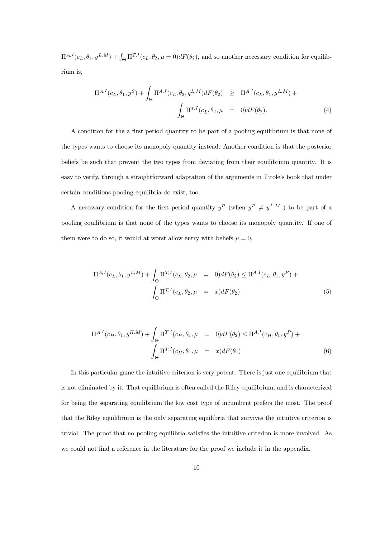$\Pi^{A,I}(c_L,\theta_1,y^{L,M}) + \int_{\Theta} \Pi^{T,I}(c_L,\theta_2,\mu=0) dF(\theta_2)$ , and so another necessary condition for equilibrium is,

$$
\Pi^{A,I}(c_L, \theta_1, y^S) + \int_{\Theta} \Pi^{A,I}(c_L, \theta_2, q^{L,M}) dF(\theta_2) \geq \Pi^{A,I}(c_L, \theta_1, y^{L,M}) + \int_{\Theta} \Pi^{T,I}(c_L, \theta_2, \mu = 0) dF(\theta_2).
$$
\n(4)

A condition for the a first period quantity to be part of a pooling equilibrium is that none of the types wants to choose its monopoly quantity instead. Another condition is that the posterior beliefs be such that prevent the two types from deviating from their equilibrium quantity. It is easy to verify, through a straightforward adaptation of the arguments in Tirole's book that under certain conditions pooling equilibria do exist, too.

A necessary condition for the first period quantity  $y^P$  (when  $y^P \neq y^{L,M}$ ) to be part of a pooling equilibrium is that none of the types wants to choose its monopoly quantity. If one of them were to do so, it would at worst allow entry with beliefs  $u = 0$ .

$$
\Pi^{A,I}(c_L, \theta_1, y^{L,M}) + \int_{\Theta} \Pi^{T,I}(c_L, \theta_2, \mu = 0) dF(\theta_2) \leq \Pi^{A,I}(c_L, \theta_1, y^P) + \int_{\Theta} \Pi^{T,I}(c_L, \theta_2, \mu = x) dF(\theta_2)
$$
\n(5)

$$
\Pi^{A,I}(c_H, \theta_1, y^{H,M}) + \int_{\Theta} \Pi^{T,I}(c_H, \theta_2, \mu = 0) dF(\theta_2) \le \Pi^{A,I}(c_H, \theta_1, y^P) + \int_{\Theta} \Pi^{T,I}(c_H, \theta_2, \mu = x) dF(\theta_2)
$$
\n(6)

In this particular game the intuitive criterion is very potent. There is just one equilibrium that is not eliminated by it. That equilibrium is often called the Riley equilibrium, and is characterized for being the separating equilibrium the low cost type of incumbent prefers the most. The proof that the Riley equilibrium is the only separating equilibria that survives the intuitive criterion is trivial. The proof that no pooling equilibria satisfies the intuitive criterion is more involved. As we could not find a reference in the literature for the proof we include it in the appendix.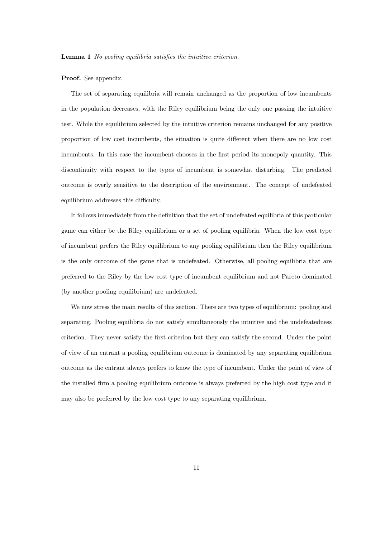**Lemma 1** No pooling equilibria satisfies the intuitive criterion.

### **Proof.** See appendix.

The set of separating equilibria will remain unchanged as the proportion of low incumbents in the population decreases, with the Riley equilibrium being the only one passing the intuitive test. While the equilibrium selected by the intuitive criterion remains unchanged for any positive proportion of low cost incumbents, the situation is quite different when there are no low cost incumbents. In this case the incumbent chooses in the first period its monopoly quantity. This discontinuity with respect to the types of incumbent is somewhat disturbing. The predicted outcome is overly sensitive to the description of the environment. The concept of undefeated equilibrium addresses this difficulty.

It follows immediately from the definition that the set of undefeated equilibria of this particular game can either be the Riley equilibrium or a set of pooling equilibria. When the low cost type of incumbent prefers the Riley equilibrium to any pooling equilibrium then the Riley equilibrium is the only outcome of the game that is undefeated. Otherwise, all pooling equilibria that are preferred to the Riley by the low cost type of incumbent equilibrium and not Pareto dominated (by another pooling equilibrium) are undefeated.

We now stress the main results of this section. There are two types of equilibrium: pooling and separating. Pooling equilibria do not satisfy simultaneously the intuitive and the undefeatedness criterion. They never satisfy the first criterion but they can satisfy the second. Under the point of view of an entrant a pooling equilibrium outcome is dominated by any separating equilibrium outcome as the entrant always prefers to know the type of incumbent. Under the point of view of the installed firm a pooling equilibrium outcome is always preferred by the high cost type and it may also be preferred by the low cost type to any separating equilibrium.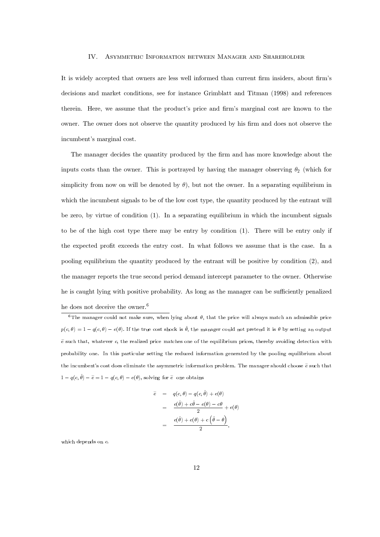### IV. ASYMMETRIC INFORMATION BETWEEN MANAGER AND SHAREHOLDER

It is widely accepted that owners are less well informed than current firm insiders, about firm's  $\alpha$  decisions and market conditions, see for instance Grimblatt and Titman (1998) and references therein. Here, we assume that the product's price and firm's marginal cost are known to the owner. The owner does not observe the quantity produced by his firm and does not observe the incumbent's marginal cost.

The manager decides the quantity produced by the firm and has more knowledge about the inputs costs than the owner. This is portrayed by having the manager observing  $\theta_2$  (which for simplicity from now on will be denoted by  $\theta$ ), but not the owner. In a separating equilibrium in which the incumbent signals to be of the low cost type, the quantity produced by the entrant will be zero, by virtue of condition  $(1)$ . In a separating equilibrium in which the incumbent signals to be of the high cost type there may be entry by condition  $(1)$ . There will be entry only if the expected profit exceeds the entry cost. In what follows we assume that is the case. In a pooling equilibrium the quantity produced by the entrant will be positive by condition (2), and the manager reports the true second period demand intercept parameter to the owner. Otherwise he is caught lying with positive probability. As long as the manager can be sufficiently penalized he does not deceive the owner.<sup>6</sup>

ing for 
$$
\tilde{e}
$$
 one obtains  
\n
$$
\tilde{e} = q(c, \theta) - q(c, \hat{\theta}) + e(\theta)
$$
\n
$$
= \frac{e(\hat{\theta}) + c\hat{\theta} - e(\theta) - c\theta}{2} + e(\theta)
$$
\n
$$
= \frac{e(\hat{\theta}) + e(\theta) + c(\hat{\theta} - \theta)}{2},
$$

which depends on  $c$ .

<sup>&</sup>lt;sup>6</sup>The manager could not make sure, when lying about  $\theta$ , that the price will always match an admissible price be does not deceive the owner.<sup>6</sup><br>
<sup>6</sup>The manager could not make sure, when lying about  $\theta$ , that the price will always match an admissible price  $p(c, \theta) = 1 - q(c, \theta) - e(\theta)$ . If the true cost shock is  $\hat{\theta}$ , the manager co  $\tilde{e}$  such that, whatever c, the realized price matches one of the equilibrium prices, thereby avoiding detection with probability one. In this particular setting the reduced information generated by the pooling equilibrium about the incumbent's cost does eliminate the asymmetric information problem. The manager should choose  $\widetilde{e}$  such that probability one. In this particular setting the reduced informa<br>the incumbent's cost does eliminate the asymmetric informa<br> $1 - q(c, \hat{\theta}) - \tilde{e} = 1 - q(c, \theta) - e(\theta)$ , solving for  $\tilde{e}$  one obtains ehergeheric information prot<br>
ing for  $\tilde{e}$  one obtains<br>  $\tilde{e}$  =  $q(c,\theta) - q(c,\hat{\theta}) + e(\theta)$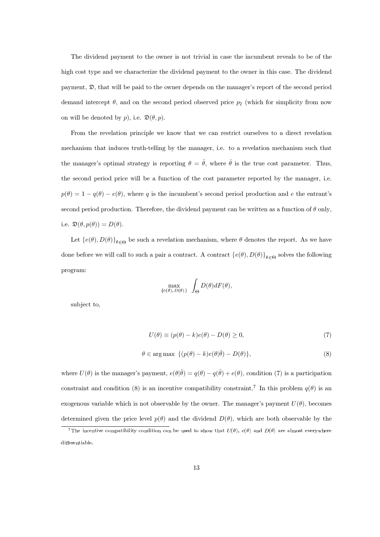The dividend payment to the owner is not trivial in case the incumbent reveals to be of the high cost type and we characterize the dividend payment to the owner in this case. The dividend payment,  $\mathfrak{D}$ , that will be paid to the owner depends on the manager's report of the second period demand intercept  $\theta$ , and on the second period observed price  $p_2$  (which for simplicity from now on will be denoted by p), i.e.  $\mathfrak{D}(\theta, p)$ .

From the revelation principle we know that we can restrict ourselves to a direct revelation mechanism that induces truth-telling by the manager, i.e. to a revelation mechanism such that the manager's optimal strategy is reporting  $\theta = \hat{\theta}$ , where  $\hat{\theta}$  is the true cost parameter. Thus, the second period price will be a function of the cost parameter reported by the manager, i.e.  $p(\theta) = 1 - q(\theta) - e(\theta)$ , where q is the incumbent's second period production and e the entrant's second period production. Therefore, the dividend payment can be written as a function of  $\theta$  only, i.e.  $\mathfrak{D}(\theta, p(\theta)) = D(\theta)$ .

Let  $\{e(\theta), D(\theta)\}_{\theta \in \Theta}$  be such a revelation mechanism, where  $\theta$  denotes the report. As we have done before we will call to such a pair a contract. A contract  $\{e(\theta), D(\theta)\}_{\theta \in \Theta}$  solves the following program:

$$
\max_{\{e(\theta), D(\theta)\}} \int_{\Theta} D(\theta) dF(\theta)
$$

subject to.

$$
U(\theta) \equiv (p(\theta) - k)e(\theta) - D(\theta) \ge 0,
$$
\n(7)

$$
\theta \in \arg \max \ \{ (p(\theta) - k)e(\theta|\tilde{\theta}) - D(\theta) \},\tag{8}
$$

where  $U(\theta)$  is the manager's payment,  $e(\theta|\hat{\theta}) = q(\theta) - q(\hat{\theta}) + e(\theta)$ , condition (7) is a participation constraint and condition (8) is an incentive compatibility constraint.<sup>7</sup> In this problem  $q(\theta)$  is an exogenous variable which is not observable by the owner. The manager's payment  $U(\theta)$ , becomes determined given the price level  $p(\theta)$  and the dividend  $D(\theta)$ , which are both observable by the

<sup>&</sup>lt;sup>7</sup>The incentive compatibility condition can be used to show that  $U(\theta)$ ,  $e(\theta)$  and  $D(\theta)$  are almost everywhere differentiable.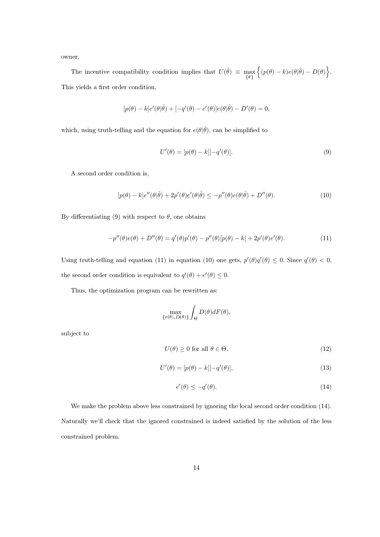owner.

The incentive compatibility condition implies that  $U(\hat{\theta}) \equiv \max_{\{\theta\}} \left\{ (p(\theta) - k)e(\theta|\hat{\theta}) - D(\theta) \right\}$ . This yields a first order condition,

$$
[p(\theta) - k]e'(\theta|\hat{\theta}) + [-q'(\theta) - e'(\theta)]e(\theta|\hat{\theta}) - D'(\theta) = 0,
$$

which, using truth-telling and the equation for  $e(\theta|\hat{\theta})$ , can be simplified to

$$
U'(\theta) = [p(\theta) - k][-q'(\theta)].
$$
\n(9)

A second order condition is,

$$
[p(\theta) - k]e''(\theta|\hat{\theta}) + 2p'(\theta)e'(\theta|\hat{\theta}) \le -p''(\theta)e(\theta|\hat{\theta}) + D''(\theta). \tag{10}
$$

By differentiating (9) with respect to  $\theta$ , one obtains

$$
-p''(\theta)e(\theta) + D''(\theta) = q'(\theta)p'(\theta) - p''(\theta)[p(\theta) - k] + 2p'(\theta)e'(\theta).
$$
 (11)

Using truth-telling and equation (11) in equation (10) one gets,  $p'(\theta)q'(\theta) \leq 0$ . Since  $q'(\theta) < 0$ , the second order condition is equivalent to  $q'(\theta)+e'(\theta)\leq 0.$ 

Thus, the optimization program can be rewritten as:

$$
\max_{\{e(\theta), D(\theta)\}} \int_{\Theta} D(\theta) dF(\theta)
$$

subject to

$$
U(\theta) \ge 0 \text{ for all } \theta \in \Theta,\tag{12}
$$

$$
U'(\theta) = [p(\theta) - k][-q'(\theta)],
$$
\n(13)

$$
e'(\theta) \le -q'(\theta). \tag{14}
$$

We make the problem above less constrained by ignoring the local second order condition (14). Naturally we'll check that the ignored constrained is indeed satisfied by the solution of the less constrained problem.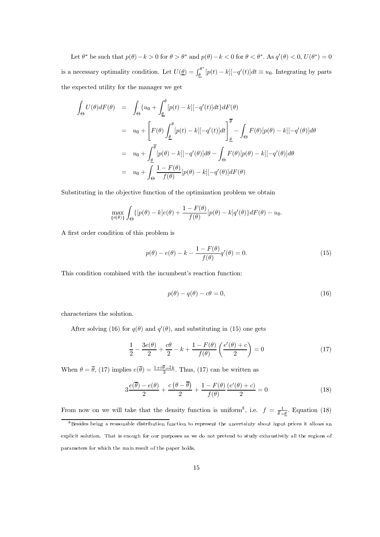Let  $\theta^*$  be such that  $p(\theta) - k > 0$  for  $\theta > \theta^*$  and  $p(\theta) - k < 0$  for  $\theta < \theta^*$ . As  $q'(\theta) < 0$ ,  $U(\theta^*) = 0$ is a necessary optimality condition. Let  $U(\underline{\theta}) = \int_{\underline{\theta}}^{\theta^*} [p(t) - k] [-q'(t)] dt \equiv u_0$ . Integrating by parts the expected utility for the manager we get

$$
\int_{\Theta} U(\theta) dF(\theta) = \int_{\Theta} \{u_0 + \int_{\underline{\theta}}^{\theta} [p(t) - k] [-q'(t)] dt\} dF(\theta)
$$
\n
$$
= u_0 + \left[ F(\theta) \int_{\underline{\theta}}^{\theta} [p(t) - k] [-q'(t)] dt \right]_{\underline{\theta}}^{\overline{\theta}} - \int_{\Theta} F(\theta) [p(\theta) - k] [-q'(\theta)] d\theta
$$
\n
$$
= u_0 + \int_{\underline{\theta}}^{\overline{\theta}} [p(\theta) - k] [-q'(\theta)] d\theta - \int_{\Theta} F(\theta) [p(\theta) - k] [-q'(\theta)] d\theta
$$
\n
$$
= u_0 + \int_{\Theta} \frac{1 - F(\theta)}{f(\theta)} [p(\theta) - k] [-q'(\theta)] dF(\theta)
$$

Substituting in the objective function of the optimization problem we obtain

$$
\max_{\{e(\theta)\}} \int_{\Theta} \{ [p(\theta) - k]e(\theta) + \frac{1 - F(\theta)}{f(\theta)} [p(\theta) - k]q'(\theta) \} dF(\theta) - u_0
$$

A first order condition of this problem is

$$
p(\theta) - e(\theta) - k - \frac{1 - F(\theta)}{f(\theta)} q'(\theta) = 0.
$$
\n(15)

This condition combined with the incumbent's reaction function:

$$
p(\theta) - q(\theta) - c\theta = 0,\tag{16}
$$

characterizes the solution.

After solving (16) for  $q(\theta)$  and  $q'(\theta)$ , and substituting in (15) one gets

$$
\frac{1}{2} - \frac{3e(\theta)}{2} + \frac{c\theta}{2} - k + \frac{1 - F(\theta)}{f(\theta)} \left(\frac{e'(\theta) + c}{2}\right) = 0\tag{17}
$$

When  $\theta = \overline{\theta}$ , (17) implies  $e(\overline{\theta}) = \frac{1 + c\overline{\theta} - 2k}{3}$ . Thus, (17) can be written as

$$
3\frac{e(\overline{\theta}) - e(\theta)}{2} + \frac{c(\theta - \overline{\theta})}{2} + \frac{1 - F(\theta)}{f(\theta)}\frac{(e'(\theta) + c)}{2} = 0
$$
\n(18)

From now on we will take that the density function is uniform<sup>8</sup>, i.e.  $f = \frac{1}{\theta - \underline{\theta}}$ . Equation (18)

<sup>&</sup>lt;sup>8</sup>Besides being a reasonable distribution function to represent the uncertainty about input prices it allows an explicit solution. That is enough for our purposes as we do not pretend to study exhaustively all the regions of parameters for which the main result of the paper holds.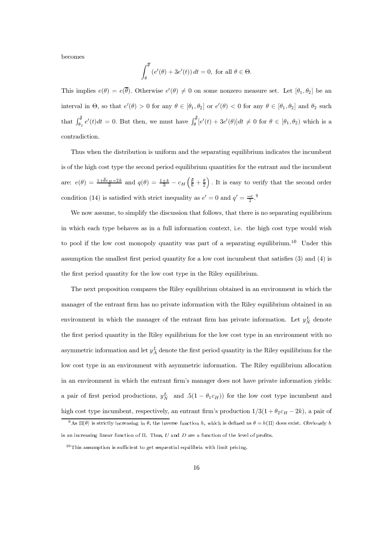becomes

$$
\int_{\theta}^{\overline{\theta}} \left(e'(\theta) + 3e'(t)\right) dt = 0, \text{ for all } \theta \in \Theta.
$$

This implies  $e(\theta) = e(\overline{\theta})$ . Otherwise  $e'(\theta) \neq 0$  on some nonzero measure set. Let  $[\theta_1, \theta_2]$  be an interval in  $\Theta$ , so that  $e'(\theta) > 0$  for any  $\theta \in [\theta_1, \theta_2]$  or  $e'(\theta) < 0$  for any  $\theta \in [\theta_1, \theta_2]$  and  $\theta_2$  such that  $\int_{\theta_2}^{\overline{\theta}} e'(t)dt = 0$ . But then, we must have  $\int_{\theta}^{\overline{\theta}} [e'(t) + 3e'(\theta)]dt \neq 0$  for  $\theta \in [\theta_1, \theta_2)$  which is a contradiction.

Thus when the distribution is uniform and the separating equilibrium indicates the incumbent is of the high cost type the second period equilibrium quantities for the entrant and the incumbent are:  $e(\theta) = \frac{1+\bar{\theta}c_H-2k}{3}$  and  $q(\theta) = \frac{1+k}{3} - c_H\left(\frac{\bar{\theta}}{6} + \frac{\theta}{2}\right)$ . It is easy to verify that the second order condition (14) is satisfied with strict inequality as  $e' = 0$  and  $q' = \frac{-c}{2}$ .

We now assume, to simplify the discussion that follows, that there is no separating equilibrium in which each type behaves as in a full information context, i.e. the high cost type would wish to pool if the low cost monopoly quantity was part of a separating equilibrium.<sup>10</sup> Under this assumption the smallest first period quantity for a low cost incumbent that satisfies  $(3)$  and  $(4)$  is the first period quantity for the low cost type in the Riley equilibrium.

The next proposition compares the Riley equilibrium obtained in an environment in which the manager of the entrant firm has no private information with the Riley equilibrium obtained in an environment in which the manager of the entrant firm has private information. Let  $y_N^L$  denote the first period quantity in the Riley equilibrium for the low cost type in an environment with no asymmetric information and let  $y_A^L$  denote the first period quantity in the Riley equilibrium for the low cost type in an environment with asymmetric information. The Riley equilibrium allocation in an environment in which the entrant firm's manager does not have private information yields: a pair of first period productions,  $y_N^L$  and  $.5(1 - \theta_1 c_H)$  for the low cost type incumbent and high cost type incumbent, respectively, an entrant firm's production  $1/3(1 + \theta_2 c_H - 2k)$ , a pair of

<sup>&</sup>lt;sup>9</sup>As  $\Pi(\theta)$  is strictly increasing in  $\theta$ , the inverse function h, which is defined as  $\theta = h(\Pi)$  does exist. Obviously h is an increasing linear function of  $\Pi$ . Thus,  $U$  and  $D$  are a function of the level of profits.

 $10$ This assumption is sufficient to get sequential equilibria with limit pricing.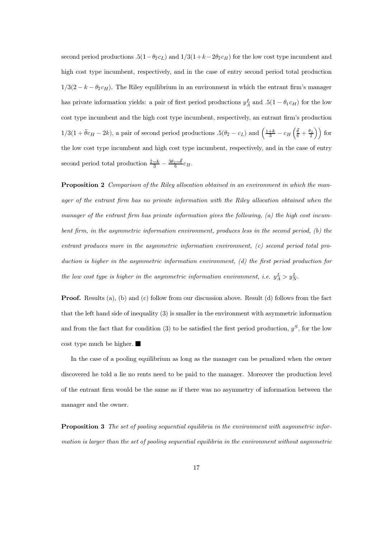second period productions  $.5(1 - \theta_2 c_L)$  and  $1/3(1 + k - 2\theta_2 c_H)$  for the low cost type incumbent and high cost type incumbent, respectively, and in the case of entry second period total production  $1/3(2-k-\theta_2c_H)$ . The Riley equilibrium in an environment in which the entrant firm's manager has private information yields: a pair of first period productions  $y_A^L$  and  $.5(1 - \theta_1 c_H)$  for the low cost type incumbent and the high cost type incumbent, respectively, an entrant firm's production  $1/3(1+\bar{\theta}c_H-2k)$ , a pair of second period productions  $.5(\theta_2-c_L)$  and  $\left(\frac{1+k}{3}-c_H\left(\frac{\bar{\theta}}{6}+\frac{\theta_2}{2}\right)\right)$  for the low cost type incumbent and high cost type incumbent, respectively, and in the case of entry second period total production  $\frac{2-k}{3} - \frac{3\theta_2 - \bar{\theta}}{6}c_H$ .

**Proposition 2** Comparison of the Riley allocation obtained in an environment in which the manager of the entrant firm has no private information with the Riley allocation obtained when the manager of the entrant firm has private information gives the following,  $(a)$  the high cost incumbent firm, in the asymmetric information environment, produces less in the second period, (b) the entrant produces more in the asymmetric information environment,  $(c)$  second period total production is higher in the asymmetric information environment,  $(d)$  the first period production for the low cost type is higher in the asymmetric information environment, i.e.  $y^L_A > y^L_N$ .

**Proof.** Results (a), (b) and (c) follow from our discussion above. Result (d) follows from the fact that the left hand side of inequality  $(3)$  is smaller in the environment with asymmetric information and from the fact that for condition (3) to be satisfied the first period production,  $y^S$ , for the low  $\cos t$  type much be higher.

In the case of a pooling equilibrium as long as the manager can be penalized when the owner discovered he told a lie no rents need to be paid to the manager. Moreover the production level of the entrant firm would be the same as if there was no asymmetry of information between the manager and the owner.

**Proposition 3** The set of pooling sequential equilibria in the environment with asymmetric information is larger than the set of pooling sequential equilibria in the environment without asymmetric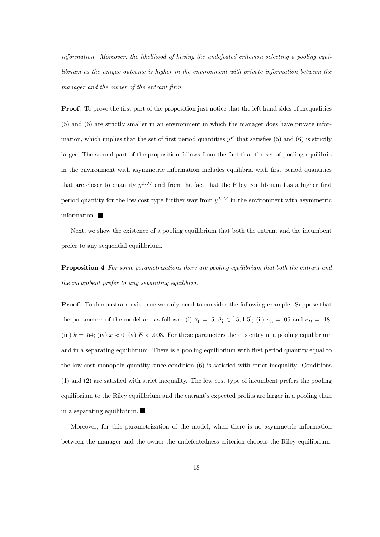information. Moreover, the likelihood of having the undefeated criterion selecting a pooling equilibrium as the unique outcome is higher in the environment with private information between the manager and the owner of the entrant firm.

**Proof.** To prove the first part of the proposition just notice that the left hand sides of inequalities  $(5)$  and  $(6)$  are strictly smaller in an environment in which the manager does have private information, which implies that the set of first period quantities  $y<sup>P</sup>$  that satisfies (5) and (6) is strictly larger. The second part of the proposition follows from the fact that the set of pooling equilibria in the environment with asymmetric information includes equilibria with first period quantities that are closer to quantity  $y^{L,M}$  and from the fact that the Riley equilibrium has a higher first period quantity for the low cost type further way from  $y^{L,M}$  in the environment with asymmetric information.  $\blacksquare$ 

Next, we show the existence of a pooling equilibrium that both the entrant and the incumbent prefer to any sequential equilibrium.

**Proposition 4** For some parametrizations there are pooling equilibrium that both the entrant and the incumbent prefer to any separating equilibria.

**Proof.** To demonstrate existence we only need to consider the following example. Suppose that the parameters of the model are as follows: (i)  $\theta_1 = .5, \theta_2 \in [.5; 1.5]$ ; (ii)  $c_L = .05$  and  $c_H = .18$ ; (iii)  $k = .54$ ; (iv)  $x \approx 0$ ; (v)  $E < .003$ . For these parameters there is entry in a pooling equilibrium and in a separating equilibrium. There is a pooling equilibrium with first period quantity equal to the low cost monopoly quantity since condition  $(6)$  is satisfied with strict inequality. Conditions  $(1)$  and  $(2)$  are satisfied with strict inequality. The low cost type of incumbent prefers the pooling equilibrium to the Riley equilibrium and the entrant's expected profits are larger in a pooling than in a separating equilibrium.  $\blacksquare$ 

Moreover, for this parametrization of the model, when there is no asymmetric information between the manager and the owner the undefeatedness criterion chooses the Riley equilibrium,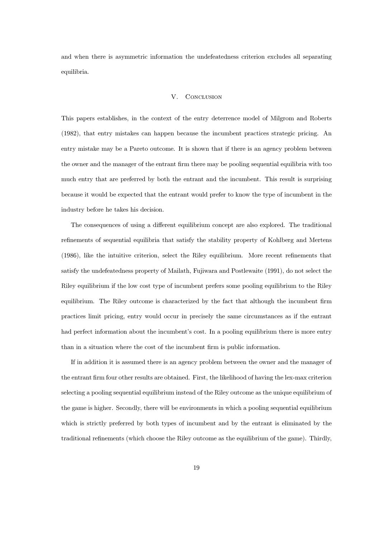and when there is asymmetric information the undefeatedness criterion excludes all separating equilibria.

### V. **CONCLUSION**

This papers establishes, in the context of the entry deterrence model of Milgrom and Roberts (1982), that entry mistakes can happen because the incumbent practices strategic pricing. An entry mistake may be a Pareto outcome. It is shown that if there is an agency problem between the owner and the manager of the entrant firm there may be pooling sequential equilibria with too much entry that are preferred by both the entrant and the incumbent. This result is surprising because it would be expected that the entrant would prefer to know the type of incumbent in the industry before he takes his decision.

The consequences of using a different equilibrium concept are also explored. The traditional refinements of sequential equilibria that satisfy the stability property of Kohlberg and Mertens (1986), like the intuitive criterion, select the Riley equilibrium. More recent refinements that satisfy the undefeatedness property of Mailath, Fujiwara and Postlewaite (1991), do not select the Riley equilibrium if the low cost type of incumbent prefers some pooling equilibrium to the Riley equilibrium. The Riley outcome is characterized by the fact that although the incumbent firm practices limit pricing, entry would occur in precisely the same circumstances as if the entrant had perfect information about the incumbent's cost. In a pooling equilibrium there is more entry than in a situation where the cost of the incumbent firm is public information.

If in addition it is assumed there is an agency problem between the owner and the manager of the entrant firm four other results are obtained. First, the likelihood of having the lex-max criterion selecting a pooling sequential equilibrium instead of the Riley outcome as the unique equilibrium of the game is higher. Secondly, there will be environments in which a pooling sequential equilibrium which is strictly preferred by both types of incumbent and by the entrant is eliminated by the traditional refinements (which choose the Riley outcome as the equilibrium of the game). Thirdly,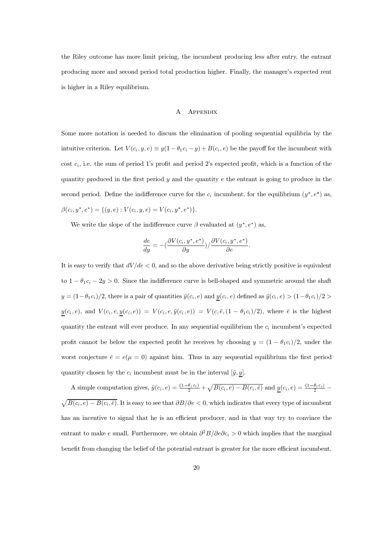the Riley outcome has more limit pricing, the incumbent producing less after entry, the entrant producing more and second period total production higher. Finally, the manager's expected rent is higher in a Rilev equilibrium.

## A APPENDIX

Some more notation is needed to discuss the elimination of pooling sequential equilibria by the intuitive criterion. Let  $V(c_i, y, e) \equiv y(1 - \theta_1 c_i - y) + B(c_i, e)$  be the payoff for the incumbent with cost  $c_i$ , i.e. the sum of period 1's profit and period 2's expected profit, which is a function of the quantity produced in the first period y and the quantity  $e$  the entrant is going to produce in the second period. Define the indifference curve for the  $c_i$  incumbent, for the equilibrium  $(y^*, e^*)$  as,  $\beta(c_i, y^*, e^*) = \{(y, e) : V(c_i, y, e) = V(c_i, y^*, e^*)\}.$ 

We write the slope of the indifference curve  $\beta$  evaluated at  $(u^*, e^*)$  as.

$$
\frac{de}{dy} = -\left(\frac{\partial V(c_i, y^*, e^*)}{\partial y}\right) / \frac{\partial V(c_i, y^*, e^*)}{\partial e}.
$$

It is easy to verify that  $dV/de < 0$ , and so the above derivative being strictly positive is equivalent to  $1 - \theta_1 c_i - 2y > 0$ . Since the indifference curve is bell-shaped and symmetric around the shaft  $y = (1 - \theta_1 c_i)/2$ , there is a pair of quantities  $\bar{y}(c_i, e)$  and  $\underline{y}(c_i, e)$  defined as  $\bar{y}(c_i, e) > (1 - \theta_1 c_i)/2 >$  $\underline{y}(c_i, e)$ , and  $V(c_i, e, \underline{y}(c_i, e)) = V(c_i, e, \overline{y}(c_i, e)) = V(c, \overline{e}, (1 - \theta_1 c_i)/2)$ , where  $\overline{e}$  is the highest quantity the entrant will ever produce. In any sequential equilibrium the  $c_i$  incumbent's expected profit cannot be below the expected profit he receives by choosing  $y = (1 - \theta_1 c_i)/2$ , under the worst conjecture  $\bar{e} = e(u = 0)$  against him. Thus in any sequential equilibrium the first period quantity chosen by the  $c_i$  incumbent must be in the interval  $[\bar{y}, \underline{y}]$ .

A simple computation gives,  $\bar{y}(c_i, e) = \frac{(1-\theta_1 c_i)}{2} + \sqrt{B(c_i, e) - B(c_i, \bar{e})}$  and  $\underline{y}(c_i, e) = \frac{(1-\theta_1 c_i)}{2} - \frac{B(c_i, \bar{e}) - B(c_i, \bar{e})}{2}$  $\sqrt{B(c_i, e) - B(c_i, \bar{e})}$ . It is easy to see that  $\partial B/\partial e < 0$ , which indicates that every type of incumbent has an incentive to signal that he is an efficient producer, and in that way try to convince the entrant to make e small. Furthermore, we obtain  $\partial^2 B/\partial e \partial c_i > 0$  which implies that the marginal benefit from changing the belief of the potential entrant is greater for the more efficient incumbent.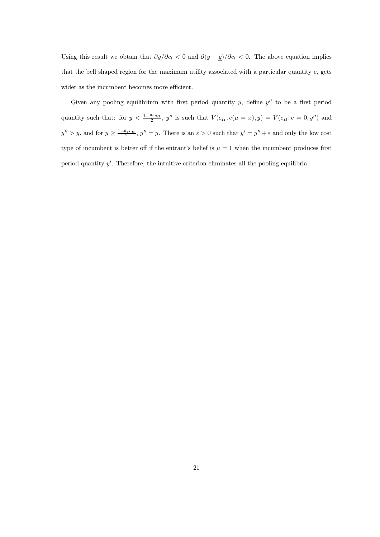Using this result we obtain that  $\partial \bar{y}/\partial c_i < 0$  and  $\partial (\bar{y} - \underline{y})/\partial c_i < 0$ . The above equation implies that the bell shaped region for the maximum utility associated with a particular quantity  $e$ , gets wider as the incumbent becomes more efficient.

Given any pooling equilibrium with first period quantity  $y$ , define  $y''$  to be a first period quantity such that: for  $y < \frac{1-\theta_1 c_H}{2}$ , y'' is such that  $V(c_H, e(\mu = x), y) = V(c_H, e = 0, y'')$  and  $y'' > y$ , and for  $y \ge \frac{1-\theta_1 c_H}{2}$ ,  $y'' = y$ . There is an  $\varepsilon > 0$  such that  $y' = y'' + \varepsilon$  and only the low cost type of incumbent is better off if the entrant's belief is  $\mu = 1$  when the incumbent produces first period quantity  $y'$ . Therefore, the intuitive criterion eliminates all the pooling equilibria.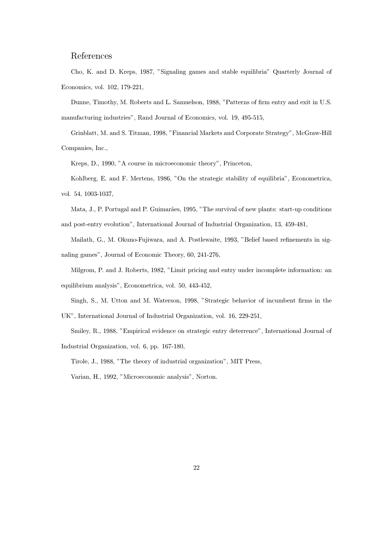# References

Cho, K. and D. Kreps, 1987, "Signaling games and stable equilibria" Quarterly Journal of Economics, vol. 102, 179-221,

Dunne, Timothy, M. Roberts and L. Samuelson, 1988, "Patterns of firm entry and exit in U.S. manufacturing industries", Rand Journal of Economics, vol. 19, 495-515,

Grinblatt, M. and S. Titman, 1998, "Financial Markets and Corporate Strategy", McGraw-Hill Companies, Inc.,

Kreps, D., 1990, "A course in microeconomic theory", Princeton,

Kohlberg, E. and F. Mertens, 1986, "On the strategic stability of equilibria", Econometrica, vol. 54, 1003-1037,

Mata, J., P. Portugal and P. Guimarães, 1995, "The survival of new plants: start-up conditions and post-entry evolution", International Journal of Industrial Organization, 13, 459-481,

Mailath, G., M. Okuno-Fujiwara, and A. Postlewaite, 1993, "Belief based refinements in signaling games", Journal of Economic Theory, 60, 241-276,

Milgrom, P. and J. Roberts, 1982, "Limit pricing and entry under incomplete information: an

equilibrium analysis", Econometrica, vol. 50, 443-452,

Singh, S., M. Utton and M. Waterson, 1998, "Strategic behavior of incumbent firms in the UK", International Journal of Industrial Organization, vol. 16, 229-251,

Smiley, R., 1988, "Empirical evidence on strategic entry deterrence", International Journal of Industrial Organization, vol. 6, pp. 167-180,

Tirole, J., 1988, "The theory of industrial organization", MIT Press,

Varian, H., 1992, "Microeconomic analysis", Norton.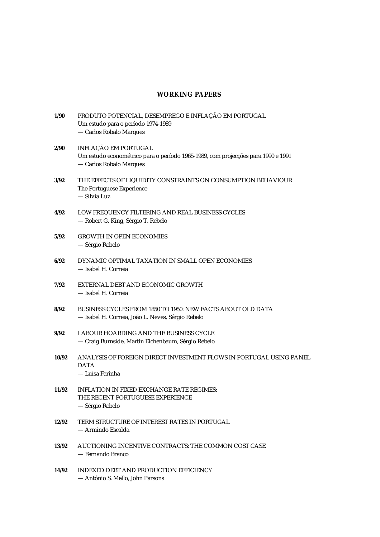# **WORKING PAPERS**

| 1/90  | PRODUTO POTENCIAL, DESEMPREGO E INFLAÇÃO EM PORTUGAL<br>Um estudo para o período 1974-1989<br>- Carlos Robalo Marques               |
|-------|-------------------------------------------------------------------------------------------------------------------------------------|
| 2/90  | INFLAÇÃO EM PORTUGAL<br>Um estudo econométrico para o período 1965-1989, com projecções para 1990 e 1991<br>- Carlos Robalo Marques |
| 3/92  | THE EFFECTS OF LIQUIDITY CONSTRAINTS ON CONSUMPTION BEHAVIOUR<br>The Portuguese Experience<br>- Sílvia Luz                          |
| 4/92  | LOW FREQUENCY FILTERING AND REAL BUSINESS CYCLES<br>- Robert G. King, Sérgio T. Rebelo                                              |
| 5/92  | <b>GROWTH IN OPEN ECONOMIES</b><br>— Sérgio Rebelo                                                                                  |
| 6/92  | DYNAMIC OPTIMAL TAXATION IN SMALL OPEN ECONOMIES<br>- Isabel H. Correia                                                             |
| 7/92  | EXTERNAL DEBT AND ECONOMIC GROWTH<br>- Isabel H. Correia                                                                            |
| 8/92  | BUSINESS CYCLES FROM 1850 TO 1950: NEW FACTS ABOUT OLD DATA<br>- Isabel H. Correia, João L. Neves, Sérgio Rebelo                    |
| 9/92  | LABOUR HOARDING AND THE BUSINESS CYCLE<br>- Craig Burnside, Martin Eichenbaum, Sérgio Rebelo                                        |
| 10/92 | ANALYSIS OF FOREIGN DIRECT INVESTMENT FLOWS IN PORTUGAL USING PANEL<br><b>DATA</b><br>— Luísa Farinha                               |
| 11/92 | <b>INFLATION IN FIXED EXCHANGE RATE REGIMES:</b><br>THE RECENT PORTUGUESE EXPERIENCE<br>— Sérgio Rebelo                             |
| 12/92 | TERM STRUCTURE OF INTEREST RATES IN PORTUGAL<br>— Armindo Escalda                                                                   |
| 13/92 | AUCTIONING INCENTIVE CONTRACTS: THE COMMON COST CASE<br>— Fernando Branco                                                           |
| 14/92 | <b>INDEXED DEBT AND PRODUCTION EFFICIENCY</b><br>- António S. Mello, John Parsons                                                   |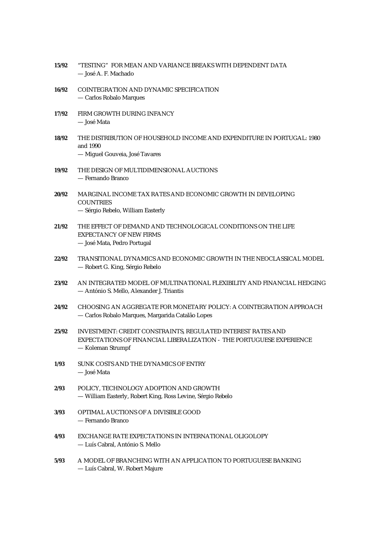| 15/92 | "TESTING" FOR MEAN AND VARIANCE BREAKS WITH DEPENDENT DATA<br>— José A. F. Machado                                                                    |
|-------|-------------------------------------------------------------------------------------------------------------------------------------------------------|
| 16/92 | COINTEGRATION AND DYNAMIC SPECIFICATION<br>- Carlos Robalo Marques                                                                                    |
| 17/92 | FIRM GROWTH DURING INFANCY<br>— José Mata                                                                                                             |
| 18/92 | THE DISTRIBUTION OF HOUSEHOLD INCOME AND EXPENDITURE IN PORTUGAL: 1980<br>and 1990<br>- Miguel Gouveia, José Tavares                                  |
| 19/92 | THE DESIGN OF MULTIDIMENSIONAL AUCTIONS<br>— Fernando Branco                                                                                          |
| 20/92 | MARGINAL INCOME TAX RATES AND ECONOMIC GROWTH IN DEVELOPING<br><b>COUNTRIES</b><br>- Sérgio Rebelo, William Easterly                                  |
| 21/92 | THE EFFECT OF DEMAND AND TECHNOLOGICAL CONDITIONS ON THE LIFE<br><b>EXPECTANCY OF NEW FIRMS</b><br>- José Mata, Pedro Portugal                        |
| 22/92 | TRANSITIONAL DYNAMICS AND ECONOMIC GROWTH IN THE NEOCLASSICAL MODEL<br>- Robert G. King, Sérgio Rebelo                                                |
| 23/92 | AN INTEGRATED MODEL OF MULTINATIONAL FLEXIBILITY AND FINANCIAL HEDGING<br>- António S. Mello, Alexander J. Triantis                                   |
| 24/92 | CHOOSING AN AGGREGATE FOR MONETARY POLICY: A COINTEGRATION APPROACH<br>- Carlos Robalo Marques, Margarida Catalão Lopes                               |
| 25/92 | INVESTMENT: CREDIT CONSTRAINTS, REGULATED INTEREST RATES AND<br>EXPECTATIONS OF FINANCIAL LIBERALIZATION THE PORTUGUESE EXPERIENCE<br>Koleman Strumpf |
| 1/93  | SUNK COSTS AND THE DYNAMICS OF ENTRY<br>— José Mata                                                                                                   |
| 2/93  | POLICY, TECHNOLOGY ADOPTION AND GROWTH<br>- William Easterly, Robert King, Ross Levine, Sérgio Rebelo                                                 |
| 3/93  | <b>OPTIMAL AUCTIONS OF A DIVISIBLE GOOD</b><br>— Fernando Branco                                                                                      |
| 4/93  | EXCHANGE RATE EXPECTATIONS IN INTERNATIONAL OLIGOLOPY<br>— Luís Cabral, António S. Mello                                                              |
| 5/93  | A MODEL OF BRANCHING WITH AN APPLICATION TO PORTUGUESE BANKING<br>- Luís Cabral, W. Robert Majure                                                     |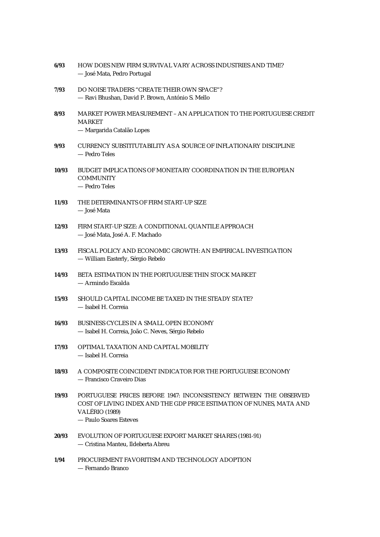| 6/93  | HOW DOES NEW FIRM SURVIVAL VARY ACROSS INDUSTRIES AND TIME?<br>- José Mata, Pedro Portugal                                                                                                   |
|-------|----------------------------------------------------------------------------------------------------------------------------------------------------------------------------------------------|
| 7/93  | DO NOISE TRADERS "CREATE THEIR OWN SPACE"?<br>- Ravi Bhushan, David P. Brown, António S. Mello                                                                                               |
| 8/93  | MARKET POWER MEASUREMENT - AN APPLICATION TO THE PORTUGUESE CREDIT<br>MARKET<br>- Margarida Catalão Lopes                                                                                    |
| 9/93  | CURRENCY SUBSTITUTABILITY AS A SOURCE OF INFLATIONARY DISCIPLINE<br>— Pedro Teles                                                                                                            |
| 10/93 | <b>BUDGET IMPLICATIONS OF MONETARY COORDINATION IN THE EUROPEAN</b><br><b>COMMUNITY</b><br>- Pedro Teles                                                                                     |
| 11/93 | THE DETERMINANTS OF FIRM START-UP SIZE<br>— José Mata                                                                                                                                        |
| 12/93 | FIRM START-UP SIZE: A CONDITIONAL QUANTILE APPROACH<br>- José Mata, José A. F. Machado                                                                                                       |
| 13/93 | FISCAL POLICY AND ECONOMIC GROWTH: AN EMPIRICAL INVESTIGATION<br>— William Easterly, Sérgio Rebelo                                                                                           |
| 14/93 | BETA ESTIMATION IN THE PORTUGUESE THIN STOCK MARKET<br>— Armindo Escalda                                                                                                                     |
| 15/93 | SHOULD CAPITAL INCOME BE TAXED IN THE STEADY STATE?<br>- Isabel H. Correia                                                                                                                   |
| 16/93 | BUSINESS CYCLES IN A SMALL OPEN ECONOMY<br>- Isabel H. Correia, João C. Neves, Sérgio Rebelo                                                                                                 |
| 17/93 | OPTIMAL TAXATION AND CAPITAL MOBILITY<br>- Isabel H. Correia                                                                                                                                 |
| 18/93 | A COMPOSITE COINCIDENT INDICATOR FOR THE PORTUGUESE ECONOMY<br>- Francisco Craveiro Dias                                                                                                     |
| 19/93 | PORTUGUESE PRICES BEFORE 1947: INCONSISTENCY BETWEEN THE OBSERVED<br>COST OF LIVING INDEX AND THE GDP PRICE ESTIMATION OF NUNES, MATA AND<br><b>VALÉRIO</b> (1989)<br>- Paulo Soares Esteves |
| 20/93 | EVOLUTION OF PORTUGUESE EXPORT MARKET SHARES (1981-91)<br>- Cristina Manteu, Ildeberta Abreu                                                                                                 |
| 1/94  | PROCUREMENT FAVORITISM AND TECHNOLOGY ADOPTION<br>- Fernando Branco                                                                                                                          |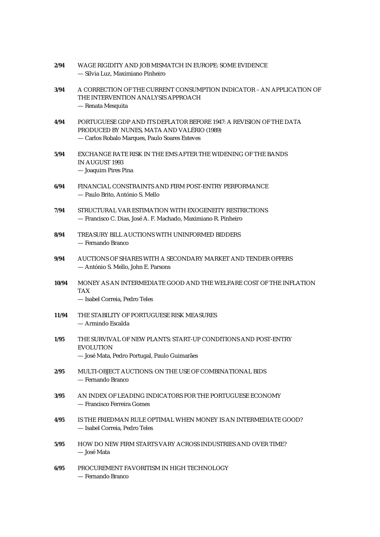| 2/94  | WAGE RIGIDITY AND JOB MISMATCH IN EUROPE: SOME EVIDENCE<br>— Sílvia Luz, Maximiano Pinheiro                                                                        |
|-------|--------------------------------------------------------------------------------------------------------------------------------------------------------------------|
| 3/94  | A CORRECTION OF THE CURRENT CONSUMPTION INDICATOR - AN APPLICATION OF<br>THE INTERVENTION ANALYSIS APPROACH<br>- Renata Mesquita                                   |
| 4/94  | PORTUGUESE GDP AND ITS DEFLATOR BEFORE 1947: A REVISION OF THE DATA<br>PRODUCED BY NUNES, MATA AND VALÉRIO (1989)<br>- Carlos Robalo Marques, Paulo Soares Esteves |
| 5/94  | EXCHANGE RATE RISK IN THE EMS AFTER THE WIDENING OF THE BANDS<br><b>IN AUGUST 1993</b><br>- Joaquim Pires Pina                                                     |
| 6/94  | FINANCIAL CONSTRAINTS AND FIRM POST-ENTRY PERFORMANCE<br>- Paulo Brito, António S. Mello                                                                           |
| 7/94  | STRUCTURAL VAR ESTIMATION WITH EXOGENEITY RESTRICTIONS<br>— Francisco C. Dias, José A. F. Machado, Maximiano R. Pinheiro                                           |
| 8/94  | TREASURY BILL AUCTIONS WITH UNINFORMED BIDDERS<br>— Fernando Branco                                                                                                |
| 9/94  | AUCTIONS OF SHARES WITH A SECONDARY MARKET AND TENDER OFFERS<br>— António S. Mello, John E. Parsons                                                                |
| 10/94 | MONEY AS AN INTERMEDIATE GOOD AND THE WELFARE COST OF THE INFLATION<br><b>TAX</b><br>- Isabel Correia, Pedro Teles                                                 |
| 11/94 | THE STABILITY OF PORTUGUESE RISK MEASURES<br>— Armindo Escalda                                                                                                     |
| 1/95  | THE SURVIVAL OF NEW PLANTS: START-UP CONDITIONS AND POST-ENTRY<br><b>EVOLUTION</b><br>- José Mata, Pedro Portugal, Paulo Guimarães                                 |
| 2/95  | <b>MULTI-OBJECT AUCTIONS: ON THE USE OF COMBINATIONAL BIDS</b><br>— Fernando Branco                                                                                |
| 3/95  | AN INDEX OF LEADING INDICATORS FOR THE PORTUGUESE ECONOMY<br>— Francisco Ferreira Gomes                                                                            |
| 4/95  | IS THE FRIEDMAN RULE OPTIMAL WHEN MONEY IS AN INTERMEDIATE GOOD?<br>- Isabel Correia, Pedro Teles                                                                  |
| 5/95  | <b>HOW DO NEW FIRM STARTS VARY ACROSS INDUSTRIES AND OVER TIME?</b><br>— José Mata                                                                                 |
| 6/95  | PROCUREMENT FAVORITISM IN HIGH TECHNOLOGY<br>— Fernando Branco                                                                                                     |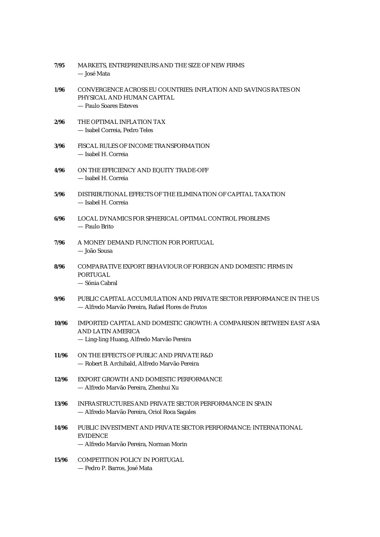| 7/95  | MARKETS, ENTREPRENEURS AND THE SIZE OF NEW FIRMS<br>— José Mata                                                                               |
|-------|-----------------------------------------------------------------------------------------------------------------------------------------------|
| 1/96  | CONVERGENCE ACROSS EU COUNTRIES: INFLATION AND SAVINGS RATES ON<br>PHYSICAL AND HUMAN CAPITAL<br>- Paulo Soares Esteves                       |
| 2/96  | THE OPTIMAL INFLATION TAX<br>- Isabel Correia, Pedro Teles                                                                                    |
| 3/96  | FISCAL RULES OF INCOME TRANSFORMATION<br>- Isabel H. Correia                                                                                  |
| 4/96  | ON THE EFFICIENCY AND EQUITY TRADE-OFF<br>- Isabel H. Correia                                                                                 |
| 5/96  | DISTRIBUTIONAL EFFECTS OF THE ELIMINATION OF CAPITAL TAXATION<br>- Isabel H. Correia                                                          |
| 6/96  | LOCAL DYNAMICS FOR SPHERICAL OPTIMAL CONTROL PROBLEMS<br>— Paulo Brito                                                                        |
| 7/96  | A MONEY DEMAND FUNCTION FOR PORTUGAL<br>— João Sousa                                                                                          |
| 8/96  | COMPARATIVE EXPORT BEHAVIOUR OF FOREIGN AND DOMESTIC FIRMS IN<br><b>PORTUGAL</b><br>— Sónia Cabral                                            |
| 9/96  | PUBLIC CAPITAL ACCUMULATION AND PRIVATE SECTOR PERFORMANCE IN THE US<br>— Alfredo Marvão Pereira, Rafael Flores de Frutos                     |
| 10/96 | IMPORTED CAPITAL AND DOMESTIC GROWTH: A COMPARISON BETWEEN EAST ASIA<br><b>AND LATIN AMERICA</b><br>— Ling-ling Huang, Alfredo Marvão Pereira |
| 11/96 | ON THE EFFECTS OF PUBLIC AND PRIVATE R&D<br>- Robert B. Archibald, Alfredo Marvão Pereira                                                     |
| 12/96 | EXPORT GROWTH AND DOMESTIC PERFORMANCE<br>— Alfredo Marvão Pereira, Zhenhui Xu                                                                |
| 13/96 | INFRASTRUCTURES AND PRIVATE SECTOR PERFORMANCE IN SPAIN<br>- Alfredo Marvão Pereira, Oriol Roca Sagales                                       |
| 14/96 | PUBLIC INVESTMENT AND PRIVATE SECTOR PERFORMANCE: INTERNATIONAL<br><b>EVIDENCE</b><br>- Alfredo Marvão Pereira, Norman Morin                  |
| 15/96 | <b>COMPETITION POLICY IN PORTUGAL</b><br>- Pedro P. Barros, José Mata                                                                         |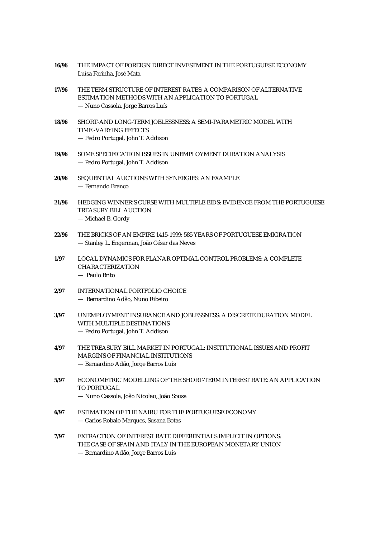| 16/96 | THE IMPACT OF FOREIGN DIRECT INVESTMENT IN THE PORTUGUESE ECONOMY<br>Luísa Farinha, José Mata                                                                            |
|-------|--------------------------------------------------------------------------------------------------------------------------------------------------------------------------|
| 17/96 | THE TERM STRUCTURE OF INTEREST RATES: A COMPARISON OF ALTERNATIVE<br>ESTIMATION METHODS WITH AN APPLICATION TO PORTUGAL<br>- Nuno Cassola, Jorge Barros Luís             |
| 18/96 | SHORT-AND LONG-TERM JOBLESSNESS: A SEMI-PARAMETRIC MODEL WITH<br><b>TIME -VARYING EFFECTS</b><br>- Pedro Portugal, John T. Addison                                       |
| 19/96 | SOME SPECIFICATION ISSUES IN UNEMPLOYMENT DURATION ANALYSIS<br>- Pedro Portugal, John T. Addison                                                                         |
| 20/96 | SEQUENTIAL AUCTIONS WITH SYNERGIES: AN EXAMPLE<br>- Fernando Branco                                                                                                      |
| 21/96 | HEDGING WINNER'S CURSE WITH MULTIPLE BIDS: EVIDENCE FROM THE PORTUGUESE<br><b>TREASURY BILL AUCTION</b><br>- Michael B. Gordy                                            |
| 22/96 | THE BRICKS OF AN EMPIRE 1415-1999: 585 YEARS OF PORTUGUESE EMIGRATION<br>- Stanley L. Engerman, João César das Neves                                                     |
| 1/97  | LOCAL DYNAMICS FOR PLANAR OPTIMAL CONTROL PROBLEMS: A COMPLETE<br><b>CHARACTERIZATION</b><br>- Paulo Brito                                                               |
| 2/97  | INTERNATIONAL PORTFOLIO CHOICE<br>- Bernardino Adão, Nuno Ribeiro                                                                                                        |
| 3/97  | UNEMPLOYMENT INSURANCE AND JOBLESSNESS: A DISCRETE DURATION MODEL<br>WITH MULTIPLE DESTINATIONS<br>- Pedro Portugal, John T. Addison                                     |
| 4/97  | THE TREASURY BILL MARKET IN PORTUGAL: INSTITUTIONAL ISSUES AND PROFIT<br><b>MARGINS OF FINANCIAL INSTITUTIONS</b><br>- Bernardino Adão, Jorge Barros Luís                |
| 5/97  | ECONOMETRIC MODELLING OF THE SHORT-TERM INTEREST RATE: AN APPLICATION<br><b>TO PORTUGAL</b><br>- Nuno Cassola, João Nicolau, João Sousa                                  |
| 6/97  | ESTIMATION OF THE NAIRU FOR THE PORTUGUESE ECONOMY<br>- Carlos Robalo Marques, Susana Botas                                                                              |
| 7/97  | <b>EXTRACTION OF INTEREST RATE DIFFERENTIALS IMPLICIT IN OPTIONS:</b><br>THE CASE OF SPAIN AND ITALY IN THE EUROPEAN MONETARY UNION<br>Rornardino Adão Jorge Rarros Luís |

— Bernardino Adão, Jorge Barros Luís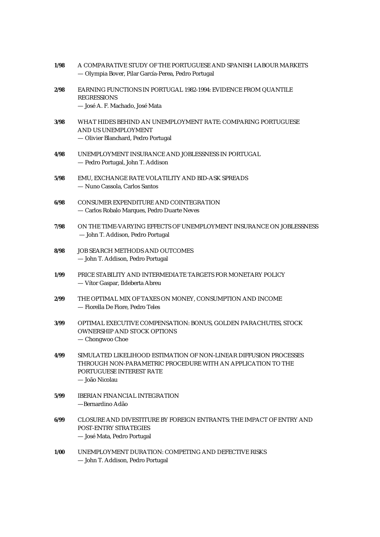| 1/98 | A COMPARATIVE STUDY OF THE PORTUGUESE AND SPANISH LABOUR MARKETS<br>- Olympia Bover, Pilar García-Perea, Pedro Portugal                                                        |
|------|--------------------------------------------------------------------------------------------------------------------------------------------------------------------------------|
| 2/98 | EARNING FUNCTIONS IN PORTUGAL 1982-1994: EVIDENCE FROM QUANTILE<br><b>REGRESSIONS</b><br>- José A. F. Machado, José Mata                                                       |
|      |                                                                                                                                                                                |
| 3/98 | WHAT HIDES BEHIND AN UNEMPLOYMENT RATE: COMPARING PORTUGUESE<br>AND US UNEMPLOYMENT                                                                                            |
|      | - Olivier Blanchard, Pedro Portugal                                                                                                                                            |
| 4/98 | UNEMPLOYMENT INSURANCE AND JOBLESSNESS IN PORTUGAL<br>- Pedro Portugal, John T. Addison                                                                                        |
| 5/98 | EMU, EXCHANGE RATE VOLATILITY AND BID-ASK SPREADS<br>- Nuno Cassola, Carlos Santos                                                                                             |
| 6/98 | CONSUMER EXPENDITURE AND COINTEGRATION<br>- Carlos Robalo Marques, Pedro Duarte Neves                                                                                          |
| 7/98 | ON THE TIME-VARYING EFFECTS OF UNEMPLOYMENT INSURANCE ON JOBLESSNESS<br>- John T. Addison, Pedro Portugal                                                                      |
| 8/98 | JOB SEARCH METHODS AND OUTCOMES<br>- John T. Addison, Pedro Portugal                                                                                                           |
| 1/99 | PRICE STABILITY AND INTERMEDIATE TARGETS FOR MONETARY POLICY<br>- Vítor Gaspar, Ildeberta Abreu                                                                                |
| 2/99 | THE OPTIMAL MIX OF TAXES ON MONEY, CONSUMPTION AND INCOME<br>- Fiorella De Fiore, Pedro Teles                                                                                  |
| 3/99 | OPTIMAL EXECUTIVE COMPENSATION: BONUS, GOLDEN PARACHUTES, STOCK<br><b>OWNERSHIP AND STOCK OPTIONS</b><br>- Chongwoo Choe                                                       |
| 4/99 | SIMULATED LIKELIHOOD ESTIMATION OF NON-LINEAR DIFFUSION PROCESSES<br>THROUGH NON-PARAMETRIC PROCEDURE WITH AN APPLICATION TO THE<br>PORTUGUESE INTEREST RATE<br>- João Nicolau |
| 5/99 | <b>IBERIAN FINANCIAL INTEGRATION</b><br>-Bernardino Adão                                                                                                                       |
| 6/99 | CLOSURE AND DIVESTITURE BY FOREIGN ENTRANTS: THE IMPACT OF ENTRY AND<br><b>POST-ENTRY STRATEGIES</b><br>- José Mata, Pedro Portugal                                            |
| 1/00 | UNEMPLOYMENT DURATION: COMPETING AND DEFECTIVE RISKS<br>- John T. Addison, Pedro Portugal                                                                                      |